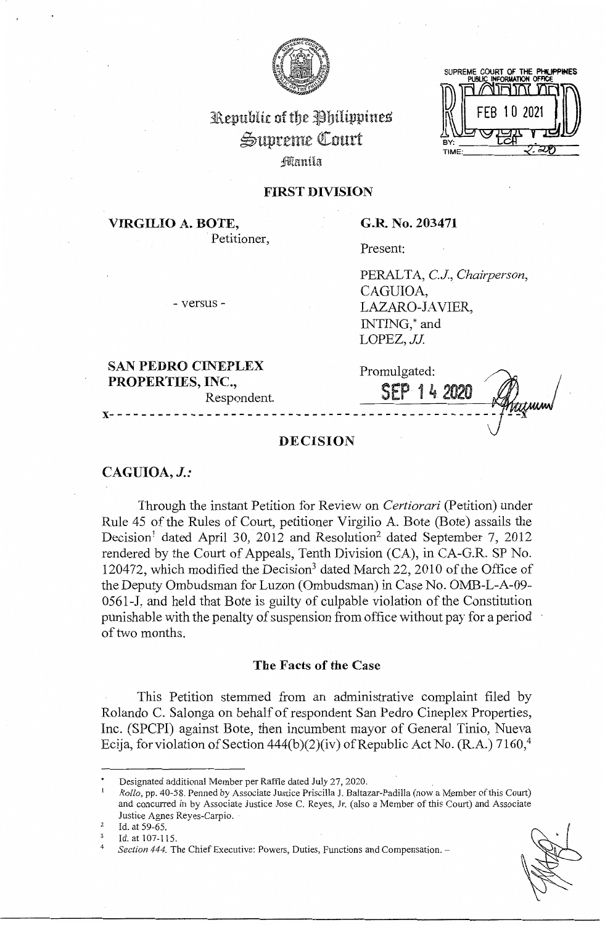

# Republic of the Philippines ~uprcme QI:ourt

fflanila

## **FIRST DIVISION**

**VIRGILIO A. BOTE,**  Petitioner, **G.R. No. 203471** 

Present:

PERAL TA, *CJ, Chairperson,*  CAGUIOA, LAZARO-JAVIER, INTING,\* and LOPEZ, JJ.

**SAN PEDRO CINEPLEX PROPERTIES, INC.,**  Respondent.

- versus -

Promulgated: SEP 14 **x------------------------------------------------**

# **DECISION**

# **CAGUIOA,** *J.:*

Through the instant Petition for Review on *Certiorari* (Petition) under Rule 45 of the Rules of Court, petitioner Virgilio A. Bote (Bote) assails the Decision<sup>1</sup> dated April 30, 2012 and Resolution<sup>2</sup> dated September 7, 2012 rendered by the Court of Appeals, Tenth Division (CA), in CA-G.R. SP No. 120472, which modified the Decision<sup>3</sup> dated March 22, 2010 of the Office of the Deputy Ombudsman for Luzon (Ombudsman) in Case No. OMB-L-A-09-0561-J, and held that Bote is guilty of culpable violation of the Constitution punishable with the penalty of suspension from office without pay for a period of two months.

#### **The Facts of the Case**

This Petition stemmed from an administrative complaint filed by Rolando C. Salonga on behalf of respondent San Pedro Cineplex Properties, Inc. (SPCPI) against Bote, then incumbent mayor of General Tinio, Nueva Ecija, for violation of Section  $444(b)(2)(iv)$  of Republic Act No. (R.A.)  $7160<sup>4</sup>$ 

<sup>•</sup> Designated additional Member per Raffle dated July 27, 2020.

<sup>1</sup>*Rollo,* pp. 40-58. Penned by Associate Justice Priscilla J. Baltazar-Padilla (now a Member of this Court) and concurred in by Associate Justice Jose C. Reyes, Jr. ( also a Member of this Court) and Associate Justice Agnes Reyes-Carpio.

<sup>&</sup>lt;sup>2</sup> Id. at 59-65.

 $\frac{3}{4}$  Id. at 107-115.

Section 444. The Chief Executive: Powers, Duties, Functions and Compensation. -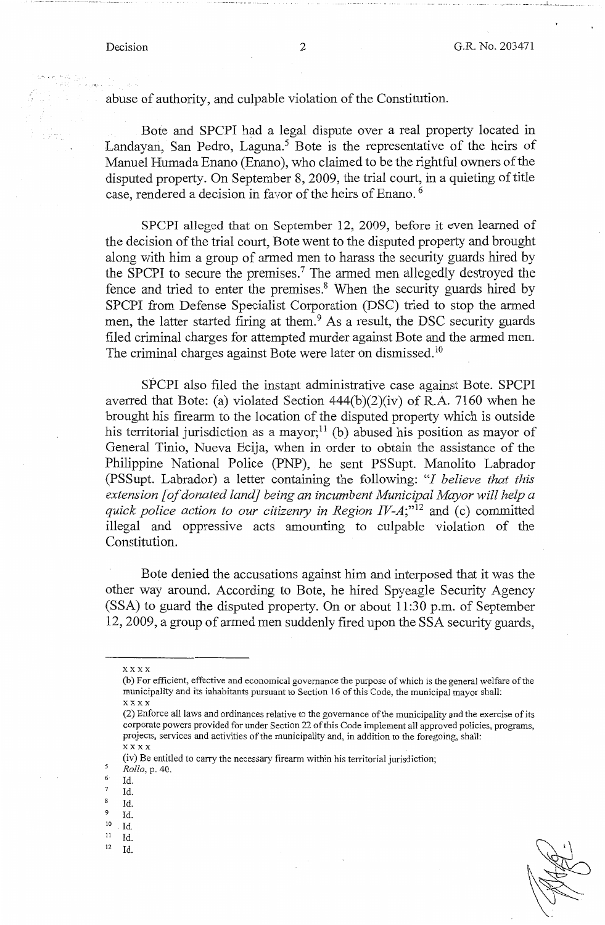abuse of authority, and culpable violation of the Constitution.

Bote and SPCPI had a legal dispute over a real property located in Landayan, San Pedro, Laguna.<sup>5</sup> Bote is the representative of the heirs of Manuel Humada Enano (Enano ), who claimed to be the rightful owners of the disputed property. On September 8, 2009, the trial court, in a quieting of title case, rendered a decision in favor of the heirs of Enano. <sup>6</sup>

SPCPI alleged that on September 12, 2009, before it even learned of the decision of the trial court, Bote went to the disputed property and brought along with him a group of armed men to harass the security guards hired by the SPCPI to secure the premises.<sup>7</sup> The armed men allegedly destroyed the fence and tried to enter the premises.<sup>8</sup> When the security guards hired by SPCPI from Defense Specialist Corporation (DSC) tried to stop the armed men, the latter started firing at them.<sup>9</sup> As a result, the DSC security guards filed criminal charges for attempted murder against Bote and the armed men. The criminal charges against Bote were later on dismissed.<sup>10</sup>

SPCPI also filed the instant administrative case against Bote. SPCPI averred that Bote: (a) violated Section 444(b)(2)(iv) of R.A. 7160 when he brought his firearm to the location of the disputed property which is outside his territorial jurisdiction as a mayor;<sup>11</sup> (b) abused his position as mayor of General Tinio, Nueva Ecija, when in order to obtain the assistance of the Philippine National Police (PNP), he sent PSSupt. Manolito Labrador (PSSupt. Labrador) a letter containing the following: *"I believe that this extension [of donated land] being an incumbent Municipal Mayor will help a quick police action to our citizenry in Region IV-A;*<sup>"12</sup> and (c) committed illegal and oppressive acts amounting to culpable violation of the Constitution.

Bote denied the accusations against him and interposed that it was the other way around. According to Bote, he hired Spyeagle Security Agency (SSA) to guard the disputed property. On or about 11 :30 p.m. of September 12, 2009, a group of armed men suddenly fired upon the SSA security guards,

(iv) Be entitled to carry the necessary firearm within his territorial jurisdiction; 5 *Rollo,* p. 40.

- $\frac{7}{8}$  Id.
- $\frac{8}{9}$  Id.
- $^{9}$  Id.
- $\frac{10}{11}$  Id.
- II Id.
- $12$  Id.

xxxx

<sup>(</sup>b) For efficient, effective and economical governance the purpose of which is the general welfare of the municipality and its inhabitants pursuant to Section 16 of this Code, the municipal mayor shall: xxxx

<sup>(2)</sup> Enforce all laws and ordinances relative to the governance of the municipality and the exercise of its corporate powers provided for under Section 22 of this Code implement all approved policies, programs, projects, services and activities of the municipality and, in addition to the foregoing, shall: xxxx

 $\frac{6}{7}$  Id.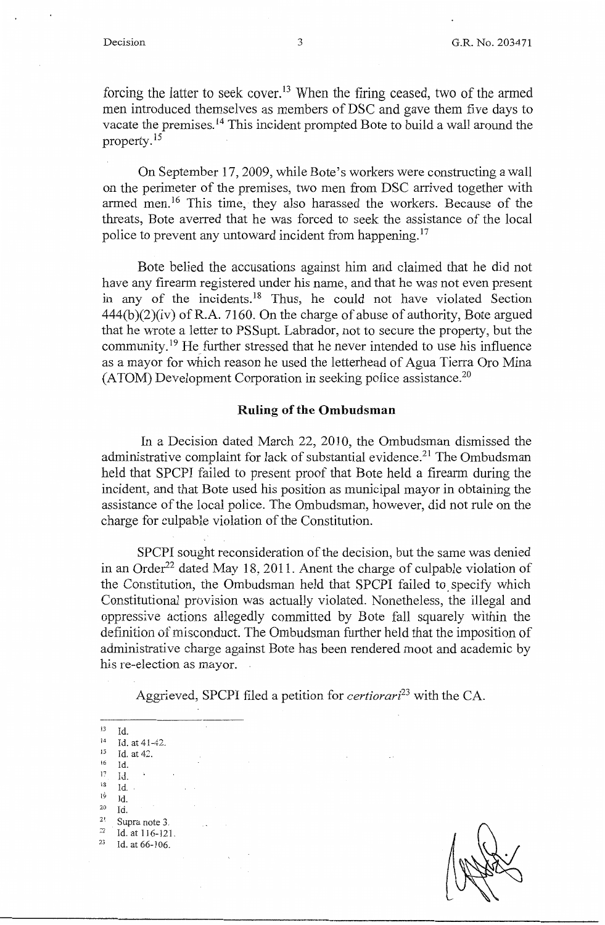forcing the latter to seek cover.<sup>13</sup> When the firing ceased, two of the armed men introduced themselves as members of DSC and gave them five days to vacate the premises.<sup>14</sup> This incident prompted Bote to build a wall around the property. <sup>15</sup>

On September 17, 2009, while Bote's workers were constructing a wall on the perimeter of the premises, two men from DSC arrived together with armed men.<sup>16</sup> This time, they also harassed the workers. Because of the threats, Bote averred that he was forced to seek the assistance of the local police to prevent any untoward incident from happening.<sup>17</sup>

Bote belied the accusations against him and claimed that he did not have any firearm registered under his name, and that he was not even present in any of the incidents.<sup>18</sup> Thus, he could not have violated Section  $444(b)(2)(iv)$  of R.A. 7160. On the charge of abuse of authority, Bote argued that he wrote a letter to PSSupt. Labrador, not to secure the property, but the community.<sup>19</sup> He further stressed that he never intended to use his influence as a mayor for which reason he used the letterhead of Agua Tierra Oro Mina  $(ATOM)$  Development Corporation in seeking police assistance.<sup>20</sup>

#### **Ruling of the Ombudsman**

In a Decision dated March 22, 2010, the Ombudsman dismissed the administrative complaint for lack of substantial evidence.<sup>21</sup> The Ombudsman held that SPCPI failed to present proof that Bote held a firearm during the incident, and that Bote used his position as municipal mayor in obtaining the assistance of the local police. The Ombudsman, however, did not rule on the charge for culpable violation of the Constitution.

SPCPI sought reconsideration of the decision, but the same was denied in an Order<sup>22</sup> dated May 18, 2011. Anent the charge of culpable violation of the Constitution, the Ombudsman held that SPCPI failed to. specify which Constitutional provision was actually violated. Nonetheless, the illegal and oppressive actions allegedly committed by Bote fall squarely within the definition of misconduct. The Ombudsman further held that the imposition of administrative charge against Bote has been rendered moot and academic by his re-election as mayor.

Aggrieved, SPCPI filed a petition for *certiorari23* with the CA.

i  $13$  Id. at 41-42.<br>  $15$  Id. at 42.<br>  $16$  Id. •6 Id. 17 Id. i3 Id.  $l^{\dot{9}}$  Id. 20 Id.  $\frac{2!}{2^2}$  Supra note 3.<br> **Example 116** - 121 <sup>22</sup>**Id. at 116-121.** Id. at 66-106.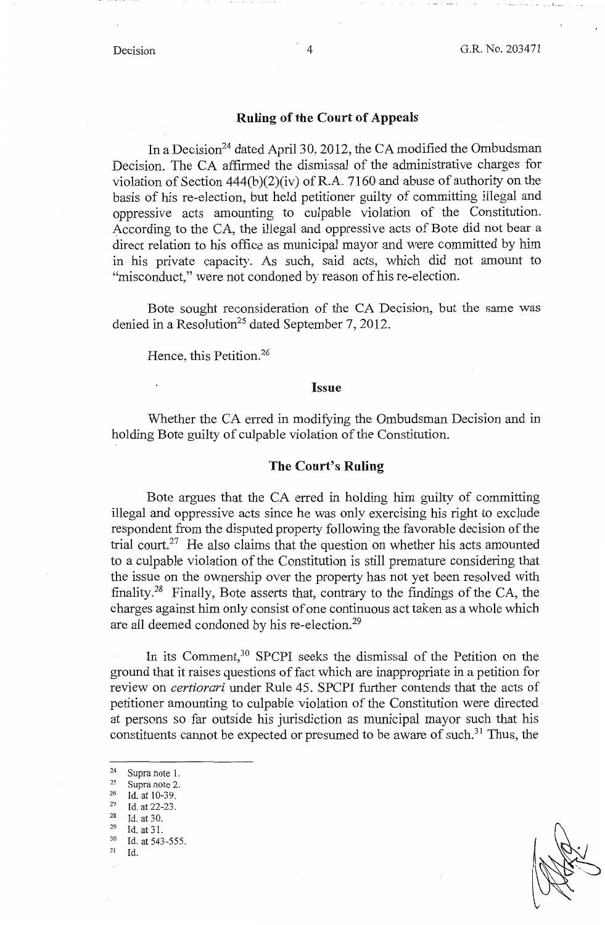• II \_\_\_ ..

#### **Ruling of the Court of Appeals**

In a Decision<sup>24</sup> dated April 30, 2012, the CA modified the Ombudsman Decision. The CA affirmed the dismissal of the administrative charges for violation of Section  $444(b)(2)(iv)$  of R.A. 7160 and abuse of authority on the basis of his re-election, but held petitioner guilty of committing illegal and oppressive acts amounting to culpable violation of the Constitution. According to the CA, the illegal and oppressive acts of Bote did not bear a direct relation to his office as municipal mayor and were committed by him in his private capacity. As such, said acts, which did not amount to "misconduct," were not condoned by reason of his re-election.

Bote sought reconsideration of the CA Decision, but the same was denied in a Resolution<sup>25</sup> dated September 7, 2012.

Hence, this Petition.<sup>26</sup>

#### **Issue**

Whether the CA erred in modifying the Ombudsman Decision and in holding Bote guilty of culpable violation of the Constitution.

#### **The Court's Ruling**

Bote argues that the CA erred in holding him guilty of committing illegal and oppressive acts since he was only exercising his right to exclude respondent from the disputed property following the favorable decision of the trial court.<sup>27</sup> He also claims that the question on whether his acts amounted to a culpable violation of the Constitution is still premature considering that the issue on the ownership over the property has not yet been resolved with finality. 28 Finally, Bote asserts that, contrary to the findings of the CA, the charges against him only consist of one continuous act taken as a whole which are all deemed condoned by his re-election. <sup>29</sup>

In its Comment,<sup>30</sup> SPCPI seeks the dismissal of the Petition on the ground that it raises questions of fact which are inappropriate in a petition for review on *certiorari* under Rule 45. SPCPI further contends that the acts of petitioner amounting to culpable violation of the Constitution were directed · at persons so far outside his jurisdiction as municipal mayor such that his constituents cannot be expected or presumed to be aware of such.<sup>31</sup> Thus, the

31 Id.

<sup>24</sup> Supra note 1.<br>
25 Supra note 2.<br>
26 Id. at 10-39.<br>
27 Id. at 22-23.<br>
28 Id. at 30.<br>
29 Id. at 31.<br>
30 Id. at 543-555.<br>
31 Id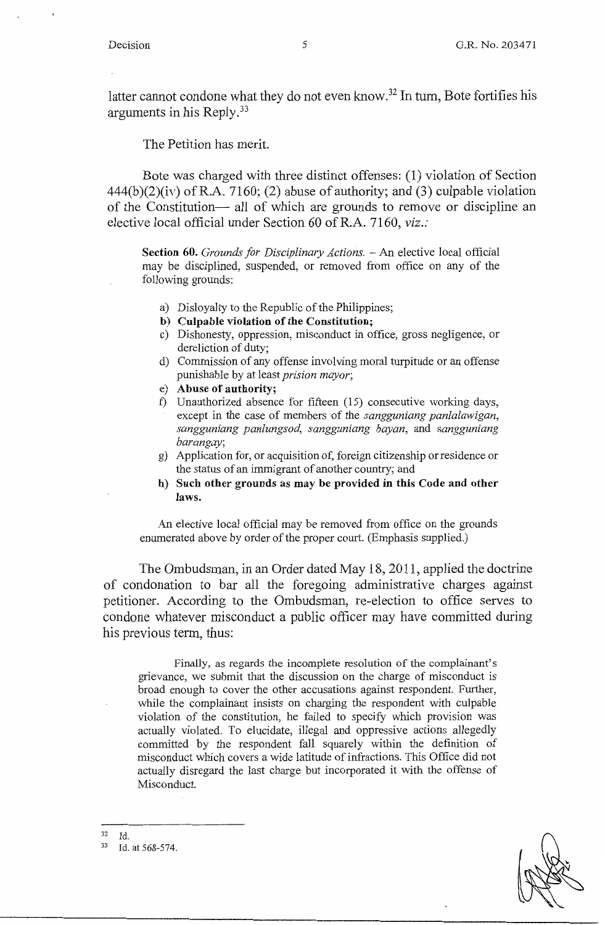latter cannot condone what they do not even know.<sup>32</sup> In turn, Bote fortifies his arguments in his Reply.33

The Petition has merit.

Bote was charged with three distinct offenses: (1) violation of Section  $444(b)(2)(iv)$  of R.A. 7160; (2) abuse of authority; and (3) culpable violation of the Constitution- all of which are grounds to remove or discipline an elective local official under Section 60 ofR.A. 7160, *viz.:* 

**Section 60.** *Grounds for Disciplinary Actions.* - An elective local official may be disciplined, suspended, or removed from office on any of the following grounds:

- a) Disloyalty to the Republic of the Philippines;
- **b) Culpable violation of the Constitution;**
- c) Dishonesty, oppression, misconduct in office, gross negligence, or dereliction of duty;
- d) Commission of any offense involving moral turpitude or an offense punishable by at least *prision mayor;*
- e) **Abuse of authority;**
- f) Unauthorized absence for fifteen (15) consecutive working days, except in the case of members of the *sangguniang panlalawigan, sangguniang panlungsod, sangguniang bayan,* and *sangguniang barangay;*
- g) Application for, or acquisition of, foreign citizenship or residence or the status of an immigrant of another country; and
- **h) Such other grounds as may be provided in this Code and other laws.**

An elective local official may be removed from office on the grounds enumerated above by order of the proper court. (Emphasis supplied.)

The Ombudsman, in an Order dated May 18, 2011, applied the doctrine of condonation to bar all the foregoing administrative charges against petitioner. According to the Ombudsman, re-election to office serves to condone whatever misconduct a public officer may have committed during his previous term, thus:

Finally, as regards the incomplete resolution of the complainant's grievance, we submit that the discussion on the charge of misconduct is broad enough to cover the other accusations against respondent. Further, while the complainant insists on charging the respondent with culpable violation of the constitution, he failed to specify which provision was actually violated. To elucidate, illegal and oppressive actions allegedly committed by the respondent fall squarely within the definition of misconduct which covers a wide latitude of infractions. This Office did not actually disregard the last charge but incorporated it with the offense of Misconduct.

 $\frac{32}{33}$  Id.

Id. at 568-574.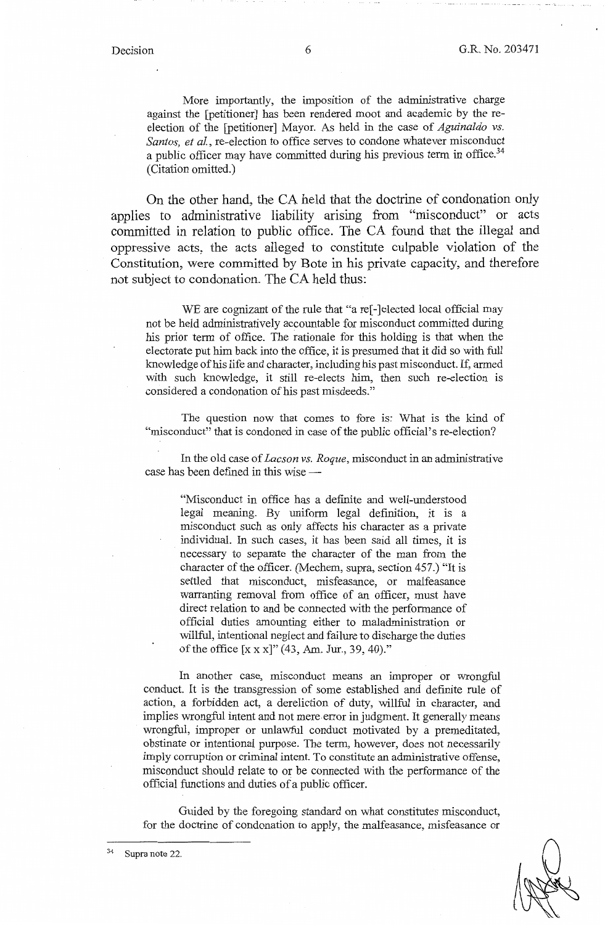More importantly, the imposition of the administrative charge against the [petitioner] has been rendered moot and academic by the reelection of the [petitioner] Mayor. As held in the case of *Aguinaldo vs. Santos, et al.,* re-election to office serves to condone whatever misconduct a public officer may have committed during his previous term in office.<sup>34</sup> (Citation omitted.)

On the other hand, the CA held that the doctrine of condonation only applies to administrative liability arising from "misconduct" or acts committed in relation to public office. The CA found that the illegal and oppressive acts, the acts alleged to constitute culpable violation of the Constitution, were committed by Bote in his private capacity, and therefore not subject to condonation. The CA held thus:

WE are cognizant of the rule that "a re<sup>[-]</sup>elected local official may not be held administratively accountable for misconduct committed during his prior term of office. The rationale for this holding is that when the electorate put him back into the office, it is presumed that it did so with full knowledge of his life and character, including his past misconduct. If, armed with such knowledge, it still re-elects him, then such re-election is considered a condonation of his past misdeeds."

The question now that comes to fore is: What is the kind of "misconduct" that is condoned in case of the public official's re-election?

In the old case of *Lacson vs. Roque,* misconduct in an administrative case has been defined in this wise --

"Misconduct in office has a definite and well-understood legal meaning. By uniform legal definition, it is a misconduct such as only affects his character as a private individual. In such cases, it has been said all times, it is necessary to separate the character of the man from the character of the officer. (Mechem, supra, section 457.) "It is settled that misconduct, misfeasance, or malfeasance warranting removal from office of an officer, must have direct relation to and be connected with the performance of official duties amounting either to maladministration or willful, intentional neglect and failure to discharge the duties of the office [x xx]" (43, Am. Jur., 39, 40)."

In another case, misconduct means an improper or wrongful conduct. It is the transgression of some established and definite rule of action, a forbidden act, a dereliction of duty, willful in character, and implies wrongful intent and not mere error in judgment. It generally means wrongful, improper or unlawful conduct motivated by a premeditated, obstinate or intentional purpose. The term, however, does not necessarily imply corruption or criminal intent. To constitute an administrative offense, misconduct should relate to or be connected with the performance of the official functions and duties of a public officer.

Guided by the foregoing standard on what constitutes misconduct, for the doctrine of condonation to apply, the malfeasance, misfeasance or

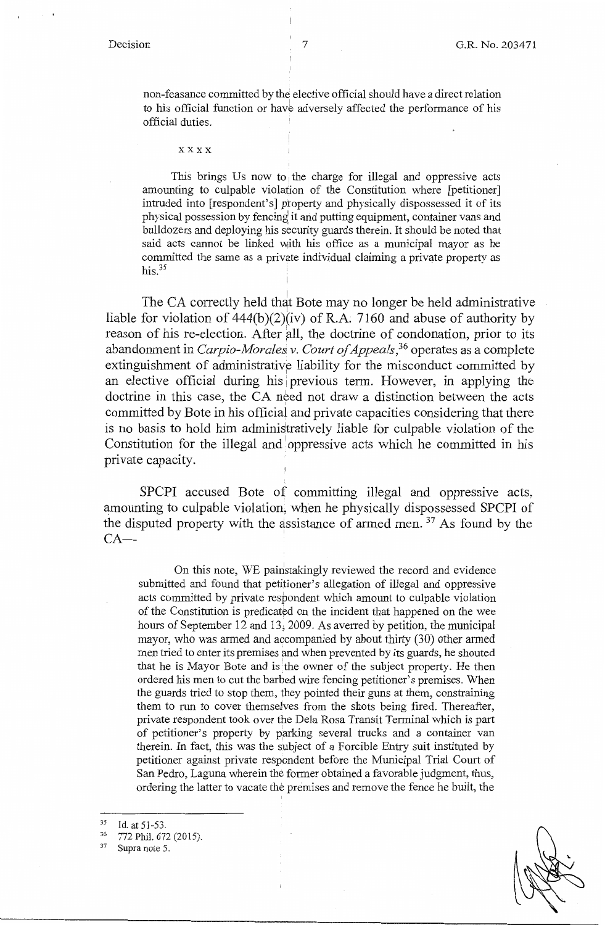non-feasance committed by the elective official should have a direct relation <sup>I</sup> to his official function or have adversely affected the performance of his official duties.

xxxx

This brings Us now to the charge for illegal and oppressive acts amounting to culpable violation of the Constitution where [petitioner] intruded into [respondent's] property and physically dispossessed it of its physical possession by fencing it and putting equipment, container vans and bulldozers and deploying his security guards therein. It should be noted that said acts cannot be linked with his office as a municipal mayor as he committed the same as a private individual claiming a private property as his. $35$ 

The CA correctly held that Bote may no longer be held administrative liable for violation of  $444(b)(2)(iv)$  of R.A. 7160 and abuse of authority by reason of his re-election. After all, the doctrine of condonation, prior to its abandonment in *Carpio-Mora/eS, v. Court of Appeals,36* operates as a complete extinguishment of administrative liability for the misconduct committed by an elective official during his previous term. However, in applying the doctrine in this case, the CA need not draw a distinction between the acts committed by Bote in his official and private capacities considering that there is no basis to hold him administratively liable for culpable violation of the Constitution for the illegal and oppressive acts which he committed in his private capacity.

SPCPI accused Bote of committing illegal and oppressive acts, amounting to culpable violation, when he physically dispossessed SPCPI of the disputed property with the assistance of armed men.<sup>37</sup> As found by the  $CA-$ 

On this note, WE painstakingly reviewed the record and evidence submitted and found that petitioner's allegation of illegal and oppressive acts committed by private respondent which amount to culpable violation of the Constitution is predicated on the incident that happened on the wee hours of September 12 and 13, 2009. As averred by petition, the municipal mayor, who was armed and accompanied by about thirty (30) other armed men tried to enter its premises and when prevented by its guards, he shouted that he is Mayor Bote and is the owner of the subject property. He then ordered his men to cut the barbed wire fencing petitioner's premises. When the guards tried to stop them, they pointed their guns at them, constraining them to run to cover themselves from the shots being fired. Thereafter, private respondent took over the Dela Rosa Transit Terminal which is part of petitioner's property by parking several trucks and a container van therein. In fact, this was the subject of a Forcible Entry suit instituted by petitioner against private respondent before the Municipal Trial Court of San Pedro, Laguna wherein the former obtained a favorable judgment, thus, ordering the latter to vacate the premises and remove the fence he built, the

I

 $\frac{35}{36}$  Id. at 51-53.<br>  $\frac{36}{37}$  772 Phil. 672 (2015).<br>
Supra note 5.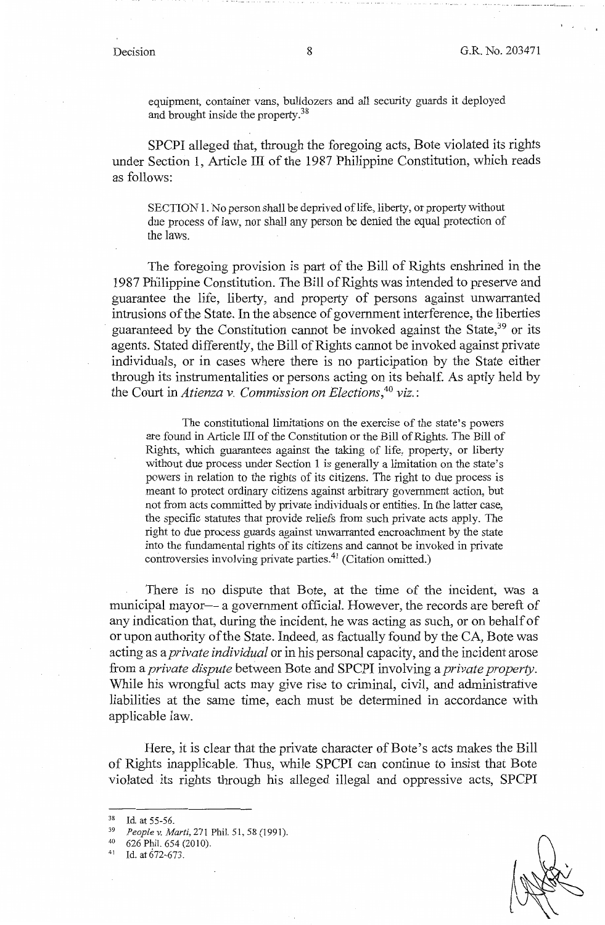• ~ ·---·-···· ·---- \_\_\_\_\_ 11 ••••• \_\_\_\_\_ ••

equipment, container vans, bulldozers and all security guards it deployed and brought inside the property.<sup>38</sup>

SPCPI alleged that, through the foregoing acts, Bote violated its rights under Section 1, Article III of the 1987 Philippine Constitution, which reads as follows:

SECTION 1. No person shall be deprived of life, liberty, or property without due process of law, nor shall any person be denied the equal protection of the laws.

The foregoing provision is part of the Bill of Rights enshrined in the 1987 Philippine Constitution. The Bill of Rights was intended to preserve and guarantee the life, liberty, and property of persons against unwarranted intrusions of the State. In the absence of government interference, the liberties guaranteed by the Constitution cannot be invoked against the State, 39 or its agents. Stated differently, the Bill of Rights cannot be invoked against private individuals, or in cases where there is no participation by the State either through its instrumentalities or persons acting on its behalf. As aptly held by the Court in *Atienza v. Commission on Elections,* <sup>40</sup>*viz.* :

The constitutional limitations on the exercise of the state's powers are found in Article III of the Constitution or the Bill of Rights. The Bill of Rights, which guarantees against the taking of life, property, or liberty without due process under Section 1 is generally a limitation on the state's powers in relation to the rights of its citizens. The right to due process is meant to protect ordinary citizens against arbitrary government action, but not from acts committed by private individuals or entities. In the latter case, the specific statutes that provide reliefs from such private acts apply. The right to due process guards against unwarranted encroachment by the state into the fundamental rights of its citizens and cannot be invoked in private controversies involving private parties.<sup>41</sup> (Citation omitted.)

There is no dispute that Bote, at the time of the incident, was a municipal mayor— a government official. However, the records are bereft of any indication that, during the incident, he was acting as such, or on behalf of or upon authority of the State. Indeed, as factually found by the CA, Bote was acting as a *private individual* or in his personal capacity, and the incident arose from a *private dispute* between Bote and SPCPI involving a *private property.*  While his wrongful acts may give rise to criminal, civil, and administrative liabilities at the same time, each must be determined in accordance with applicable law.

Here, it is clear that the private character of Bote's acts makes the Bill of Rights inapplicable. Thus, while SPCPI can continue to insist that Bote violated its rights through his alleged illegal and oppressive acts, SPCPI

<sup>38</sup> Id. at 55-56.<br><sup>39</sup> *People v. Marti*, 271 Phil. 51, 58 (1991).<br><sup>40</sup> 626 Phil. 654 (2010).

Id. at 672-673.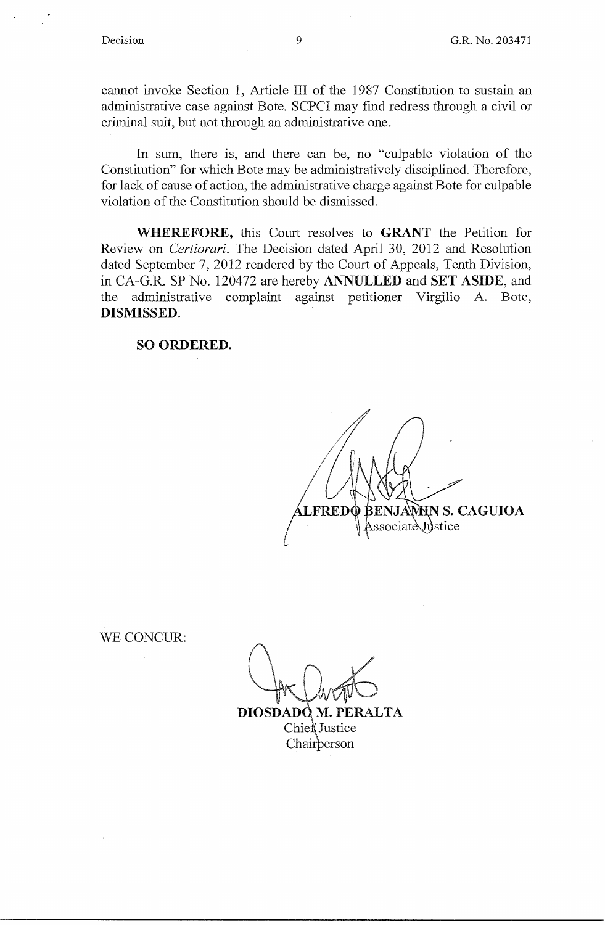

cannot invoke Section 1, Article III of the 1987 Constitution to sustain an administrative case against Bote. SCPCI may find redress through a civil or criminal suit, but not through an administrative one.

In sum, there is, and there can be, no "culpable violation of the Constitution" for which Bote may be administratively disciplined. Therefore, for lack of cause of action, the administrative charge against Bote for culpable violation of the Constitution should be dismissed.

**WHEREFORE,** this Court resolves to **GRANT** the Petition for Review on *Certiorari.* The Decision dated April 30, 2012 and Resolution dated September 7, 2012 rendered by the Court of Appeals, Tenth Division, in CA-G.R. SP No. 120472 are hereby **ANNULLED** and **SET ASIDE,** and the administrative complaint against petitioner Virgilio A. Bote, **DISMISSED.** 

#### **SO ORDERED.**

BENJAWNN S. CAGUIOA **LFRED** Associate Justice

WE CONCUR:

DIOSDADO M. PERALTA Chief Justice Chairberson